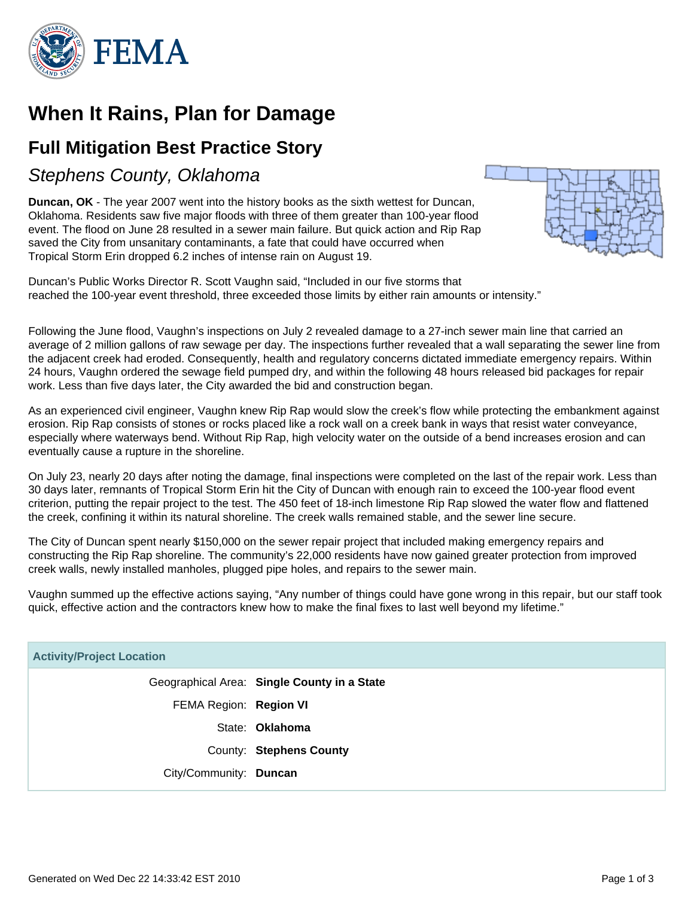

# **When It Rains, Plan for Damage**

### **Full Mitigation Best Practice Story**

Stephens County, Oklahoma

**Duncan, OK** - The year 2007 went into the history books as the sixth wettest for Duncan, Oklahoma. Residents saw five major floods with three of them greater than 100-year flood event. The flood on June 28 resulted in a sewer main failure. But quick action and Rip Rap saved the City from unsanitary contaminants, a fate that could have occurred when Tropical Storm Erin dropped 6.2 inches of intense rain on August 19.



Duncan's Public Works Director R. Scott Vaughn said, "Included in our five storms that reached the 100-year event threshold, three exceeded those limits by either rain amounts or intensity."

Following the June flood, Vaughn's inspections on July 2 revealed damage to a 27-inch sewer main line that carried an average of 2 million gallons of raw sewage per day. The inspections further revealed that a wall separating the sewer line from the adjacent creek had eroded. Consequently, health and regulatory concerns dictated immediate emergency repairs. Within 24 hours, Vaughn ordered the sewage field pumped dry, and within the following 48 hours released bid packages for repair work. Less than five days later, the City awarded the bid and construction began.

As an experienced civil engineer, Vaughn knew Rip Rap would slow the creek's flow while protecting the embankment against erosion. Rip Rap consists of stones or rocks placed like a rock wall on a creek bank in ways that resist water conveyance, especially where waterways bend. Without Rip Rap, high velocity water on the outside of a bend increases erosion and can eventually cause a rupture in the shoreline.

On July 23, nearly 20 days after noting the damage, final inspections were completed on the last of the repair work. Less than 30 days later, remnants of Tropical Storm Erin hit the City of Duncan with enough rain to exceed the 100-year flood event criterion, putting the repair project to the test. The 450 feet of 18-inch limestone Rip Rap slowed the water flow and flattened the creek, confining it within its natural shoreline. The creek walls remained stable, and the sewer line secure.

The City of Duncan spent nearly \$150,000 on the sewer repair project that included making emergency repairs and constructing the Rip Rap shoreline. The community's 22,000 residents have now gained greater protection from improved creek walls, newly installed manholes, plugged pipe holes, and repairs to the sewer main.

Vaughn summed up the effective actions saying, "Any number of things could have gone wrong in this repair, but our staff took quick, effective action and the contractors knew how to make the final fixes to last well beyond my lifetime."

| <b>Activity/Project Location</b> |                                             |
|----------------------------------|---------------------------------------------|
|                                  | Geographical Area: Single County in a State |
| FEMA Region: Region VI           |                                             |
|                                  | State: Oklahoma                             |
|                                  | County: Stephens County                     |
| City/Community: Duncan           |                                             |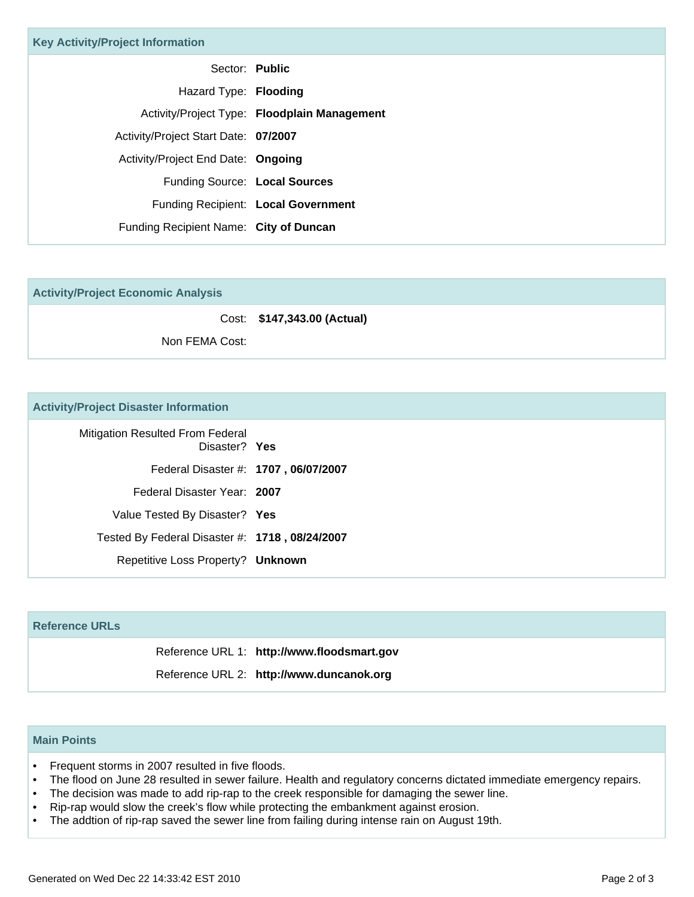| <b>Key Activity/Project Information</b> |                                              |
|-----------------------------------------|----------------------------------------------|
| Sector: Public                          |                                              |
| Hazard Type: Flooding                   |                                              |
|                                         | Activity/Project Type: Floodplain Management |
| Activity/Project Start Date: 07/2007    |                                              |
| Activity/Project End Date: Ongoing      |                                              |
| Funding Source: Local Sources           |                                              |
|                                         | Funding Recipient: Local Government          |
| Funding Recipient Name: City of Duncan  |                                              |

|  | <b>Activity/Project Economic Analysis</b> |  |
|--|-------------------------------------------|--|
|  |                                           |  |

Cost: **\$147,343.00 (Actual)**

Non FEMA Cost:

#### **Activity/Project Disaster Information**

| Mitigation Resulted From Federal<br>Disaster? Yes |
|---------------------------------------------------|
| Federal Disaster #: 1707, 06/07/2007              |
| Federal Disaster Year: 2007                       |
| Value Tested By Disaster? Yes                     |
| Tested By Federal Disaster #: 1718, 08/24/2007    |
| Repetitive Loss Property? Unknown                 |

# **Reference URLs** Reference URL 1: **http://www.floodsmart.gov** Reference URL 2: **http://www.duncanok.org**

### **Main Points**

- Frequent storms in 2007 resulted in five floods.
- The flood on June 28 resulted in sewer failure. Health and regulatory concerns dictated immediate emergency repairs.
- The decision was made to add rip-rap to the creek responsible for damaging the sewer line.
- Rip-rap would slow the creek's flow while protecting the embankment against erosion.
- The addtion of rip-rap saved the sewer line from failing during intense rain on August 19th.